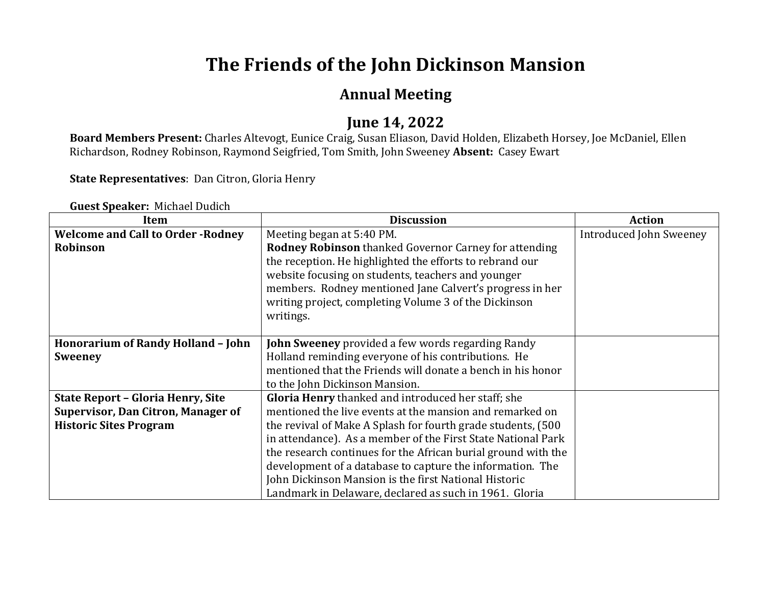# **The Friends of the John Dickinson Mansion**

#### **Annual Meeting**

#### **June 14, 2022**

Board Members Present: Charles Altevogt, Eunice Craig, Susan Eliason, David Holden, Elizabeth Horsey, Joe McDaniel, Ellen Richardson, Rodney Robinson, Raymond Seigfried, Tom Smith, John Sweeney Absent: Casey Ewart

**State Representatives**: Dan Citron, Gloria Henry

| <b>Item</b>                               | <b>Discussion</b>                                             | <b>Action</b>           |
|-------------------------------------------|---------------------------------------------------------------|-------------------------|
| <b>Welcome and Call to Order - Rodney</b> | Meeting began at 5:40 PM.                                     | Introduced John Sweeney |
| Robinson                                  | <b>Rodney Robinson</b> thanked Governor Carney for attending  |                         |
|                                           | the reception. He highlighted the efforts to rebrand our      |                         |
|                                           | website focusing on students, teachers and younger            |                         |
|                                           | members. Rodney mentioned Jane Calvert's progress in her      |                         |
|                                           | writing project, completing Volume 3 of the Dickinson         |                         |
|                                           | writings.                                                     |                         |
|                                           |                                                               |                         |
| Honorarium of Randy Holland - John        | <b>John Sweeney</b> provided a few words regarding Randy      |                         |
| <b>Sweeney</b>                            | Holland reminding everyone of his contributions. He           |                         |
|                                           | mentioned that the Friends will donate a bench in his honor   |                         |
|                                           | to the John Dickinson Mansion.                                |                         |
| <b>State Report - Gloria Henry, Site</b>  | Gloria Henry thanked and introduced her staff; she            |                         |
| <b>Supervisor, Dan Citron, Manager of</b> | mentioned the live events at the mansion and remarked on      |                         |
| <b>Historic Sites Program</b>             | the revival of Make A Splash for fourth grade students, (500) |                         |
|                                           | in attendance). As a member of the First State National Park  |                         |
|                                           | the research continues for the African burial ground with the |                         |
|                                           | development of a database to capture the information. The     |                         |
|                                           | John Dickinson Mansion is the first National Historic         |                         |
|                                           | Landmark in Delaware, declared as such in 1961. Gloria        |                         |

**Guest Speaker:** Michael Dudich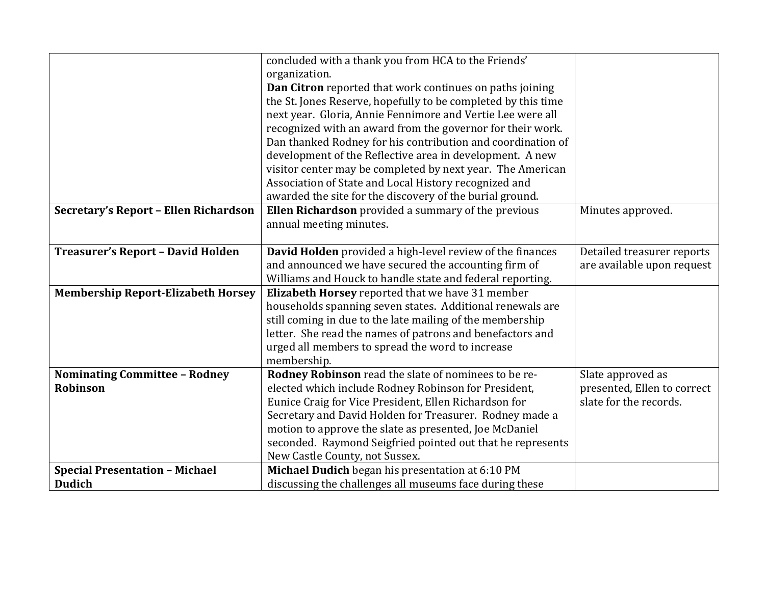|                                           | concluded with a thank you from HCA to the Friends'           |                             |
|-------------------------------------------|---------------------------------------------------------------|-----------------------------|
|                                           | organization.                                                 |                             |
|                                           | Dan Citron reported that work continues on paths joining      |                             |
|                                           | the St. Jones Reserve, hopefully to be completed by this time |                             |
|                                           | next year. Gloria, Annie Fennimore and Vertie Lee were all    |                             |
|                                           | recognized with an award from the governor for their work.    |                             |
|                                           | Dan thanked Rodney for his contribution and coordination of   |                             |
|                                           | development of the Reflective area in development. A new      |                             |
|                                           | visitor center may be completed by next year. The American    |                             |
|                                           | Association of State and Local History recognized and         |                             |
|                                           | awarded the site for the discovery of the burial ground.      |                             |
| Secretary's Report - Ellen Richardson     | Ellen Richardson provided a summary of the previous           | Minutes approved.           |
|                                           | annual meeting minutes.                                       |                             |
|                                           |                                                               |                             |
| Treasurer's Report - David Holden         | David Holden provided a high-level review of the finances     | Detailed treasurer reports  |
|                                           | and announced we have secured the accounting firm of          | are available upon request  |
|                                           | Williams and Houck to handle state and federal reporting.     |                             |
| <b>Membership Report-Elizabeth Horsey</b> | Elizabeth Horsey reported that we have 31 member              |                             |
|                                           | households spanning seven states. Additional renewals are     |                             |
|                                           | still coming in due to the late mailing of the membership     |                             |
|                                           | letter. She read the names of patrons and benefactors and     |                             |
|                                           | urged all members to spread the word to increase              |                             |
|                                           | membership.                                                   |                             |
| <b>Nominating Committee - Rodney</b>      | Rodney Robinson read the slate of nominees to be re-          | Slate approved as           |
| Robinson                                  | elected which include Rodney Robinson for President,          | presented, Ellen to correct |
|                                           | Eunice Craig for Vice President, Ellen Richardson for         | slate for the records.      |
|                                           | Secretary and David Holden for Treasurer. Rodney made a       |                             |
|                                           | motion to approve the slate as presented, Joe McDaniel        |                             |
|                                           | seconded. Raymond Seigfried pointed out that he represents    |                             |
|                                           | New Castle County, not Sussex.                                |                             |
| <b>Special Presentation - Michael</b>     | Michael Dudich began his presentation at 6:10 PM              |                             |
| <b>Dudich</b>                             | discussing the challenges all museums face during these       |                             |